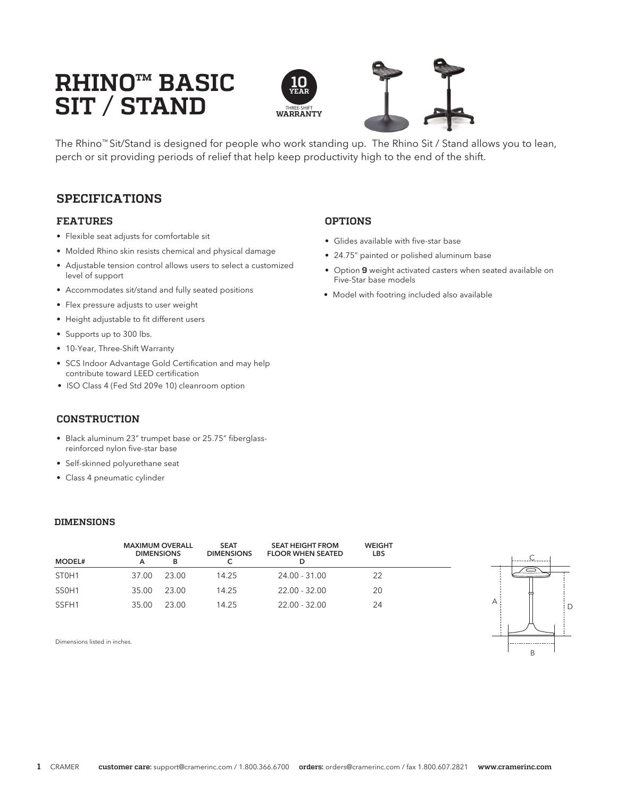# **RHINO™ BASIC SIT / STAND**





The Rhino™ Sit/Stand is designed for people who work standing up. The Rhino Sit / Stand allows you to lean, perch or sit providing periods of relief that help keep productivity high to the end of the shift.

# **SPECIFICATIONS**

### **FEATURES**

- Flexible seat adjusts for comfortable sit
- Molded Rhino skin resists chemical and physical damage
- Adjustable tension control allows users to select a customized level of support
- Accommodates sit/stand and fully seated positions
- Flex pressure adjusts to user weight
- Height adjustable to fit different users
- Supports up to 300 lbs.
- 10-Year, Three-Shift Warranty
- SCS Indoor Advantage Gold Certification and may help contribute toward LEED certification
- ISO Class 4 (Fed Std 209e 10) cleanroom option

## **CONSTRUCTION**

- Black aluminum 23" trumpet base or 25.75" fiberglassreinforced nylon five-star base
- Self-skinned polyurethane seat
- Class 4 pneumatic cylinder

#### **DIMENSIONS**

| <b>MODEL#</b>                  | <b>MAXIMUM OVERALL</b><br><b>DIMENSIONS</b><br>А | в     | <b>SEAT</b><br><b>DIMENSIONS</b> | <b>SEAT HEIGHT FROM</b><br><b>FLOOR WHEN SEATED</b><br>D | <b>WEIGHT</b><br><b>LBS</b> |
|--------------------------------|--------------------------------------------------|-------|----------------------------------|----------------------------------------------------------|-----------------------------|
| ST <sub>0</sub> H <sub>1</sub> | 37.00                                            | 23.00 | 14.25                            | 24.00 - 31.00                                            | 22                          |
| SS <sub>0</sub> H <sub>1</sub> | 35.00                                            | 23.00 | 14.25                            | 22.00 - 32.00                                            | 20                          |
| SSFH1                          | 35.00                                            | 23.00 | 14.25                            | $22.00 - 32.00$                                          | 24                          |



Dimensions listed in inches.

### **OPTIONS**

- Glides available with five-star base
- 24.75" painted or polished aluminum base
- Option **9** weight activated casters when seated available on Five-Star base models
- Model with footring included also available